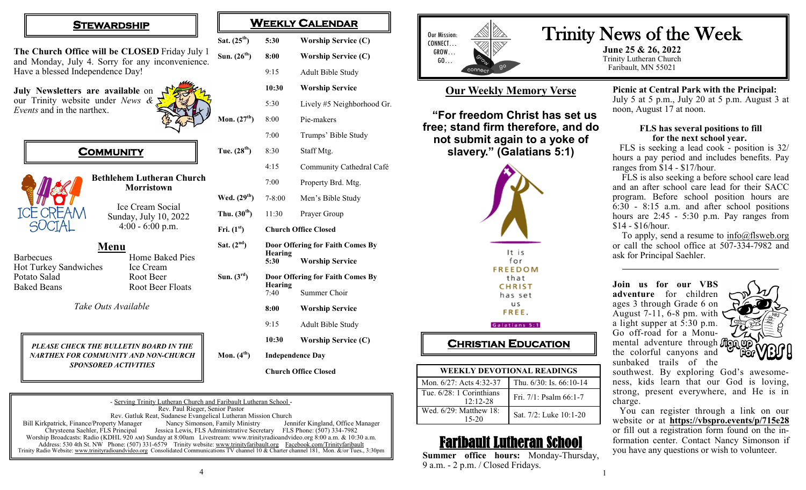## **STEWARDSHIP**

**The Church Office will be CLOSED** Friday July 1 and Monday, July 4. Sorry for any inconvenience. Have a blessed Independence Day! **Sun. (20** 

**July Newsletters are available** on our Trinity website under *News & Events* and in the narthex.



# **COMMUNITY**



**Bethlehem Lutheran Church Morristown**

> Ice Cream Social Sunday, July 10, 2022 4:00 - 6:00 p.m.

**Menu** Barbecues **Home Baked Pies** Hot Turkey Sandwiches Ice Cream Potato Salad Root Beer Baked Beans Root Beer Floats

*Take Outs Available*

### *PLEASE CHECK THE BULLETIN BOARD IN THE NARTHEX FOR COMMUNITY AND NON-CHURCH SPONSORED ACTIVITIES*

| Sat. $(25^{th})$ | 5:30                             | <b>Worship Service (C)</b> |
|------------------|----------------------------------|----------------------------|
| Sun. $(26^{th})$ | 8:00                             | <b>Worship Service (C)</b> |
|                  | 9:15                             | <b>Adult Bible Study</b>   |
|                  | 10:30                            | <b>Worship Service</b>     |
|                  | 5:30                             | Lively #5 Neighborhood Gr. |
| Mon. $(27th)$    | 8:00                             | Pie-makers                 |
|                  | 7:00                             | Trumps' Bible Study        |
| Tue. $(28^{th})$ | 8:30                             | Staff Mtg.                 |
|                  | 4:15                             | Community Cathedral Café   |
|                  | 7:00                             | Property Brd. Mtg.         |
| Wed. $(29th)$    | $7 - 8:00$                       | Men's Bible Study          |
| Thu. $(30th)$    | 11:30                            | Prayer Group               |
| Fri. $(1st)$     | <b>Church Office Closed</b>      |                            |
| Sat. $(2nd)$     | Door Offering for Faith Comes By |                            |
|                  | <b>Hearing</b><br>5:30           | <b>Worship Service</b>     |
| Sun. $(3^{rd})$  | Door Offering for Faith Comes By |                            |
|                  | <b>Hearing</b><br>7:40           | Summer Choir               |
|                  | 8:00                             | <b>Worship Service</b>     |
|                  | 9:15                             | Adult Bible Study          |
|                  | 10:30                            | <b>Worship Service (C)</b> |
| Mon. $(4th)$     | <b>Independence Day</b>          |                            |
|                  | <b>Church Office Closed</b>      |                            |

**WEEKLY CALENDAR** 

| - Serving Trinity Lutheran Church and Faribault Lutheran School - |                                                                                                                                              |                                   |  |  |  |
|-------------------------------------------------------------------|----------------------------------------------------------------------------------------------------------------------------------------------|-----------------------------------|--|--|--|
| Rev. Paul Rieger, Senior Pastor                                   |                                                                                                                                              |                                   |  |  |  |
| Rev. Gatluk Reat, Sudanese Evangelical Lutheran Mission Church    |                                                                                                                                              |                                   |  |  |  |
| Bill Kirkpatrick, Finance/Property Manager                        | Nancy Simonson, Family Ministry                                                                                                              | Jennifer Kingland, Office Manager |  |  |  |
| Chrysteena Saehler, FLS Principal                                 | Jessica Lewis, FLS Administrative Secretary FLS Phone: (507) 334-7982                                                                        |                                   |  |  |  |
|                                                                   | Worship Broadcasts: Radio (KDHL 920 AM) Sunday at 8:00am Livestream: www.trinityradioandvideo.org 8:00 a.m. & 10:30 a.m.                     |                                   |  |  |  |
|                                                                   | Address: 530 4th St. NW Phone: (507) 331-6579 Trinity website: www.trinityfaribault.org Facebook.com/Trinityfaribault                        |                                   |  |  |  |
|                                                                   | Trinity Radio Website: www.trinityradioandvideo.org Consolidated Communications TV channel 10 & Charter channel 181, Mon. &/or Tues., 3:30pm |                                   |  |  |  |

4



# **Our Weekly Memory Verse**

**"For freedom Christ has set us free; stand firm therefore, and do not submit again to a yoke of slavery." (Galatians 5:1)**



#### Galatians 5:1

# **CHRISTIAN EDUCATION**

| <b>WEEKLY DEVOTIONAL READINGS</b>      |                              |  |  |  |
|----------------------------------------|------------------------------|--|--|--|
| Mon. 6/27: Acts 4:32-37                | Thu. $6/30$ : Is. $66:10-14$ |  |  |  |
| Tue. 6/28: 1 Corinthians<br>$12:12-28$ | Fri. 7/1: Psalm 66:1-7       |  |  |  |
| Wed. 6/29: Matthew 18:<br>15-20        | Sat. 7/2: Luke 10:1-20       |  |  |  |

# Faribault Lutheran School

**Summer office hours:** Monday-Thursday, 9 a.m. - 2 p.m. / Closed Fridays.

Trinity News of the Week

**June 25 & 26, 2022** Trinity Lutheran Church Faribault, MN 55021

> **Picnic at Central Park with the Principal:**  July 5 at 5 p.m., July 20 at 5 p.m. August 3 at noon, August 17 at noon.

#### **FLS has several positions to fill for the next school year.**

 FLS is seeking a lead cook - position is 32/ hours a pay period and includes benefits. Pay ranges from \$14 - \$17/hour.

 FLS is also seeking a before school care lead and an after school care lead for their SACC program. Before school position hours are 6:30 - 8:15 a.m. and after school positions hours are 2:45 - 5:30 p.m. Pay ranges from \$14 - \$16/hour.

To apply, send a resume to  $info@f$ lsweb.org or call the school office at 507-334-7982 and ask for Principal Saehler.

**Join us for our VBS adventure** for children ages 3 through Grade 6 on August 7-11, 6-8 pm. with a light supper at  $\bar{5}:30$  p.m. Go off-road for a Monumental adventure through **from up** the colorful canyons and sunbaked trails of the



southwest. By exploring God's awesomeness, kids learn that our God is loving, strong, present everywhere, and He is in charge.

 You can register through a link on our website or at **<https://vbspro.events/p/715e28>** or fill out a registration form found on the information center. Contact Nancy Simonson if you have any questions or wish to volunteer.